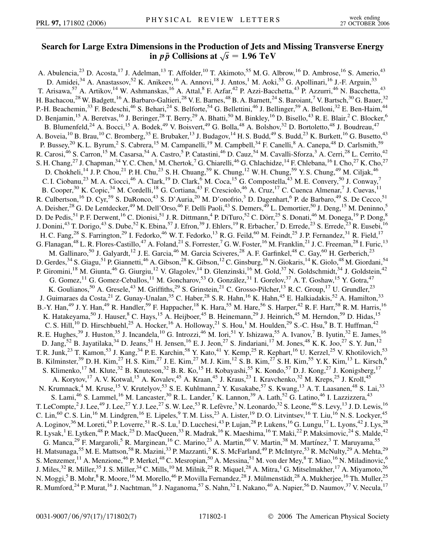## **Search for Large Extra Dimensions in the Production of Jets and Missing Transverse Energy** nsions in the Production of Jets and<br>in  $p\bar{p}$  Collisions at  $\sqrt{s} = 1.96 \text{ TeV}$

A. Abulencia,<sup>23</sup> D. Acosta,<sup>17</sup> J. Adelman,<sup>13</sup> T. Affolder,<sup>10</sup> T. Akimoto,<sup>55</sup> M. G. Albrow,<sup>16</sup> D. Ambrose,<sup>16</sup> S. Amerio,<sup>43</sup> D. Amidei,<sup>34</sup> A. Anastassov,<sup>52</sup> K. Anikeev,<sup>16</sup> A. Annovi,<sup>18</sup> J. Antos,<sup>1</sup> M. Aoki,<sup>55</sup> G. Apollinari,<sup>16</sup> J.-F. Arguin,<sup>33</sup> T. Arisawa,<sup>57</sup> A. Artikov,<sup>14</sup> W. Ashmanskas,<sup>16</sup> A. Attal,<sup>8</sup> F. Azfar,<sup>42</sup> P. Azzi-Bacchetta,<sup>43</sup> P. Azzurri,<sup>46</sup> N. Bacchetta,<sup>43</sup> H. Bachacou,<sup>28</sup> W. Badgett,<sup>16</sup> A. Barbaro-Galtieri,<sup>28</sup> V. E. Barnes,<sup>48</sup> B. A. Barnett,<sup>24</sup> S. Baroiant,<sup>7</sup> V. Bartsch,<sup>30</sup> G. Bauer,<sup>32</sup> P.-H. Beachemin,<sup>33</sup> F. Bedeschi,<sup>46</sup> S. Behari,<sup>24</sup> S. Belforte,<sup>54</sup> G. Bellettini,<sup>46</sup> J. Bellinger,<sup>59</sup> A. Belloni,<sup>32</sup> E. Ben-Haim,<sup>44</sup> D. Benjamin,<sup>15</sup> A. Beretvas,<sup>16</sup> J. Beringer,<sup>28</sup> T. Berry,<sup>29</sup> A. Bhatti,<sup>50</sup> M. Binkley,<sup>16</sup> D. Bisello,<sup>43</sup> R. E. Blair,<sup>2</sup> C. Blocker,<sup>6</sup> B. Blumenfeld,<sup>24</sup> A. Bocci,<sup>15</sup> A. Bodek,<sup>49</sup> V. Boisvert,<sup>49</sup> G. Bolla,<sup>48</sup> A. Bolshov,<sup>32</sup> D. Bortoletto,<sup>48</sup> J. Boudreau,<sup>47</sup> A. Boveia,<sup>10</sup> B. Brau,<sup>10</sup> C. Bromberg,<sup>35</sup> E. Brubaker,<sup>13</sup> J. Budagov,<sup>14</sup> H. S. Budd,<sup>49</sup> S. Budd,<sup>23</sup> K. Burkett,<sup>16</sup> G. Busetto,<sup>43</sup> P. Bussey,<sup>20</sup> K. L. Byrum,<sup>2</sup> S. Cabrera,<sup>15</sup> M. Campanelli,<sup>19</sup> M. Campbell,<sup>34</sup> F. Canelli,<sup>8</sup> A. Canepa,<sup>48</sup> D. Carlsmith,<sup>59</sup> R. Carosi,<sup>46</sup> S. Carron,<sup>15</sup> M. Casarsa,<sup>54</sup> A. Castro,<sup>5</sup> P. Catastini,<sup>46</sup> D. Cauz,<sup>54</sup> M. Cavalli-Sforza,<sup>3</sup> A. Cerri,<sup>28</sup> L. Cerrito,<sup>42</sup> S. H. Chang,  $^{27}$  J. Chapman,  $^{34}$  Y. C. Chen,  $^1$  M. Chertok,  $^7$  G. Chiarelli,  $^{46}$  G. Chlachidze,  $^{14}$  F. Chlebana,  $^{16}$  I. Cho,  $^{27}$  K. Cho,  $^{27}$ D. Chokheli,<sup>14</sup> J. P. Chou,<sup>21</sup> P. H. Chu,<sup>23</sup> S. H. Chuang,<sup>59</sup> K. Chung,<sup>12</sup> W. H. Chung,<sup>59</sup> Y. S. Chung,<sup>49</sup> M. Ciljak,<sup>46</sup> C. I. Ciobanu,<sup>23</sup> M. A. Ciocci,<sup>46</sup> A. Clark,<sup>19</sup> D. Clark,<sup>6</sup> M. Coca,<sup>15</sup> G. Compostella,<sup>43</sup> M. E. Convery,<sup>50</sup> J. Conway,<sup>7</sup> B. Cooper,<sup>30</sup> K. Copic,<sup>34</sup> M. Cordelli,<sup>18</sup> G. Cortiana,<sup>43</sup> F. Cresciolo,<sup>46</sup> A. Cruz,<sup>17</sup> C. Cuenca Almenar,<sup>7</sup> J. Cuevas,<sup>11</sup> R. Culbertson,<sup>16</sup> D. Cyr,<sup>59</sup> S. DaRonco,<sup>43</sup> S. D'Auria,<sup>20</sup> M. D'onofrio,<sup>3</sup> D. Dagenhart,<sup>6</sup> P. de Barbaro,<sup>49</sup> S. De Cecco,<sup>51</sup> A. Deisher,<sup>28</sup> G. De Lentdecker,<sup>49</sup> M. Dell'Orso,<sup>46</sup> F. Delli Paoli,<sup>43</sup> S. Demers,<sup>49</sup> L. Demortier,<sup>50</sup> J. Deng,<sup>15</sup> M. Deninno,<sup>5</sup> D. De Pedis,<sup>51</sup> P. F. Derwent,<sup>16</sup> C. Dionisi,<sup>51</sup> J. R. Dittmann,<sup>4</sup> P. DiTuro,<sup>52</sup> C. Dörr,<sup>25</sup> S. Donati,<sup>46</sup> M. Donega,<sup>19</sup> P. Dong,<sup>8</sup> J. Donini,<sup>43</sup> T. Dorigo,<sup>43</sup> S. Dube,<sup>52</sup> K. Ebina,<sup>57</sup> J. Efron,<sup>39</sup> J. Ehlers,<sup>19</sup> R. Erbacher,<sup>7</sup> D. Errede,<sup>23</sup> S. Errede,<sup>23</sup> R. Eusebi,<sup>16</sup> H. C. Fang,<sup>28</sup> S. Farrington,<sup>29</sup> I. Fedorko,<sup>46</sup> W. T. Fedorko,<sup>13</sup> R. G. Feild,<sup>60</sup> M. Feindt,<sup>25</sup> J. P. Fernandez,<sup>31</sup> R. Field,<sup>17</sup> G. Flanagan,<sup>48</sup> L. R. Flores-Castillo,<sup>47</sup> A. Foland,<sup>21</sup> S. Forrester,<sup>7</sup> G. W. Foster,<sup>16</sup> M. Franklin,<sup>21</sup> J. C. Freeman,<sup>28</sup> I. Furic,<sup>13</sup> M. Gallinaro,<sup>50</sup> J. Galyardt,<sup>12</sup> J. E. Garcia,<sup>46</sup> M. Garcia Sciveres,<sup>28</sup> A. F. Garfinkel,<sup>48</sup> C. Gay,<sup>60</sup> H. Gerberich,<sup>23</sup> D. Gerdes,<sup>34</sup> S. Giagu,<sup>51</sup> P. Giannetti,<sup>46</sup> A. Gibson,<sup>28</sup> K. Gibson,<sup>12</sup> C. Ginsburg,<sup>16</sup> N. Giokaris,<sup>14</sup> K. Giolo,<sup>48</sup> M. Giordani,<sup>54</sup> P. Giromini,<sup>18</sup> M. Giunta,<sup>46</sup> G. Giurgiu,<sup>12</sup> V. Glagolev,<sup>14</sup> D. Glenzinski,<sup>16</sup> M. Gold,<sup>37</sup> N. Goldschmidt,<sup>34</sup> J. Goldstein,<sup>42</sup> G. Gomez,<sup>11</sup> G. Gomez-Ceballos,<sup>11</sup> M. Goncharov,<sup>53</sup> O. González,<sup>31</sup> I. Gorelov,<sup>37</sup> A. T. Goshaw,<sup>15</sup> Y. Gotra,<sup>47</sup> K. Goulianos, <sup>50</sup> A. Gresele, <sup>43</sup> M. Griffiths, <sup>29</sup> S. Grinstein, <sup>21</sup> C. Grosso-Pilcher, <sup>13</sup> R. C. Group, <sup>17</sup> U. Grundler, <sup>23</sup> J. Guimaraes da Costa,<sup>21</sup> Z. Gunay-Unalan,<sup>35</sup> C. Haber,<sup>28</sup> S. R. Hahn,<sup>16</sup> K. Hahn,<sup>45</sup> E. Halkiadakis,<sup>52</sup> A. Hamilton,<sup>33</sup> B.-Y. Han,<sup>49</sup> J. Y. Han,<sup>49</sup> R. Handler,<sup>59</sup> F. Happacher,<sup>18</sup> K. Hara,<sup>55</sup> M. Hare,<sup>56</sup> S. Harper,<sup>42</sup> R. F. Harr,<sup>58</sup> R. M. Harris,<sup>16</sup> K. Hatakeyama,<sup>50</sup> J. Hauser, <sup>8</sup> C. Hays, <sup>15</sup> A. Heijboer, <sup>45</sup> B. Heinemann, <sup>29</sup> J. Heinrich, <sup>45</sup> M. Herndon, <sup>59</sup> D. Hidas, <sup>15</sup> C. S. Hill,<sup>10</sup> D. Hirschbuehl,<sup>25</sup> A. Hocker,<sup>16</sup> A. Holloway,<sup>21</sup> S. Hou,<sup>1</sup> M. Houlden,<sup>29</sup> S.-C. Hsu,<sup>9</sup> B. T. Huffman,<sup>42</sup> R. E. Hughes,<sup>39</sup> J. Huston,<sup>35</sup> J. Incandela,<sup>10</sup> G. Introzzi,<sup>46</sup> M. Iori,<sup>51</sup> Y. Ishizawa,<sup>55</sup> A. Ivanov,<sup>7</sup> B. Iyutin,<sup>32</sup> E. James,<sup>16</sup> D. Jang,<sup>52</sup> B. Jayatilaka,<sup>34</sup> D. Jeans,<sup>51</sup> H. Jensen,<sup>16</sup> E. J. Jeon,<sup>27</sup> S. Jindariani,<sup>17</sup> M. Jones,<sup>48</sup> K. K. Joo,<sup>27</sup> S. Y. Jun,<sup>12</sup> T. R. Junk,<sup>23</sup> T. Kamon,<sup>53</sup> J. Kang,<sup>34</sup> P. E. Karchin,<sup>58</sup> Y. Kato,<sup>41</sup> Y. Kemp,<sup>25</sup> R. Kephart,<sup>16</sup> U. Kerzel,<sup>25</sup> V. Khotilovich,<sup>53</sup> B. Kilminster,<sup>39</sup> D. H. Kim,<sup>27</sup> H. S. Kim,<sup>27</sup> J. E. Kim,<sup>27</sup> M. J. Kim,<sup>12</sup> S. B. Kim,<sup>27</sup> S. H. Kim,<sup>55</sup> Y. K. Kim,<sup>13</sup> L. Kirsch,<sup>6</sup> S. Klimenko,<sup>17</sup> M. Klute,<sup>32</sup> B. Knuteson,<sup>32</sup> B. R. Ko,<sup>15</sup> H. Kobayashi,<sup>55</sup> K. Kondo,<sup>57</sup> D. J. Kong,<sup>27</sup> J. Konigsberg,<sup>17</sup> A. Korytov,<sup>17</sup> A. V. Kotwal,<sup>15</sup> A. Kovalev,<sup>45</sup> A. Kraan,<sup>45</sup> J. Kraus,<sup>23</sup> I. Kravchenko,<sup>32</sup> M. Kreps,<sup>25</sup> J. Kroll,<sup>45</sup> N. Krumnack,<sup>4</sup> M. Kruse,<sup>15</sup> V. Krutelyov,<sup>53</sup> S. E. Kuhlmann,<sup>2</sup> Y. Kusakabe,<sup>57</sup> S. Kwang,<sup>13</sup> A. T. Laasanen,<sup>48</sup> S. Lai,<sup>33</sup> S. Lami,<sup>46</sup> S. Lammel,<sup>16</sup> M. Lancaster,<sup>30</sup> R. L. Lander,<sup>7</sup> K. Lannon,<sup>39</sup> A. Lath,<sup>52</sup> G. Latino,<sup>46</sup> I. Lazzizzera,<sup>43</sup> T. LeCompte, <sup>2</sup> J. Lee,<sup>49</sup> J. Lee,<sup>27</sup> Y. J. Lee,<sup>27</sup> S. W. Lee,<sup>53</sup> R. Lefèvre,<sup>3</sup> N. Leonardo,<sup>32</sup> S. Leone,<sup>46</sup> S. Levy,<sup>13</sup> J. D. Lewis,<sup>16</sup> C. Lin,<sup>60</sup> C. S. Lin,<sup>16</sup> M. Lindgren,<sup>16</sup> E. Lipeles, <sup>9</sup> T. M. Liss,<sup>23</sup> A. Lister,<sup>19</sup> D. O. Litvintsev,<sup>16</sup> T. Liu,<sup>16</sup> N. S. Lockyer,<sup>45</sup> A. Loginov,  $36$  M. Loreti,  $43$  P. Loverre,  $51$  R.-S. Lu,  $1$  D. Lucchesi,  $43$  P. Lujan,  $28$  P. Lukens,  $16$  G. Lungu,  $17$  L. Lyons,  $42$  J. Lys,  $28$ R. Lysak,<sup>1</sup> E. Lytken,<sup>48</sup> P. Mack,<sup>25</sup> D. MacQueen,<sup>33</sup> R. Madrak,<sup>16</sup> K. Maeshima,<sup>16</sup> T. Maki,<sup>22</sup> P. Maksimovic,<sup>24</sup> S. Malde,<sup>42</sup> G. Manca,<sup>29</sup> F. Margaroli,<sup>5</sup> R. Marginean,<sup>16</sup> C. Marino,<sup>23</sup> A. Martin,<sup>60</sup> V. Martin,<sup>38</sup> M. Martínez,<sup>3</sup> T. Maruyama,<sup>55</sup> H. Matsunaga,<sup>55</sup> M. E. Mattson,<sup>58</sup> R. Mazini,<sup>33</sup> P. Mazzanti,<sup>5</sup> K. S. McFarland,<sup>49</sup> P. McIntyre,<sup>53</sup> R. McNulty,<sup>29</sup> A. Mehta,<sup>29</sup> S. Menzemer,  $^{11}$  A. Menzione,  $^{46}$  P. Merkel,  $^{48}$  C. Mesropian,  $^{50}$  A. Messina,  $^{51}$  M. von der Mey,  $^8$  T. Miao,  $^{16}$  N. Miladinovic,  $^6$ J. Miles,<sup>32</sup> R. Miller,<sup>35</sup> J. S. Miller,<sup>34</sup> C. Mills,<sup>10</sup> M. Milnik,<sup>25</sup> R. Miquel,<sup>28</sup> A. Mitra,<sup>1</sup> G. Mitselmakher,<sup>17</sup> A. Miyamoto,<sup>26</sup> N. Moggi,<sup>5</sup> B. Mohr,<sup>8</sup> R. Moore,<sup>16</sup> M. Morello,<sup>46</sup> P. Movilla Fernandez,<sup>28</sup> J. Mülmenstädt,<sup>28</sup> A. Mukherjee,<sup>16</sup> Th. Muller,<sup>25</sup> R. Mumford,<sup>24</sup> P. Murat,<sup>16</sup> J. Nachtman,<sup>16</sup> J. Naganoma,<sup>57</sup> S. Nahn,<sup>32</sup> I. Nakano,<sup>40</sup> A. Napier,<sup>56</sup> D. Naumov,<sup>37</sup> V. Necula,<sup>17</sup>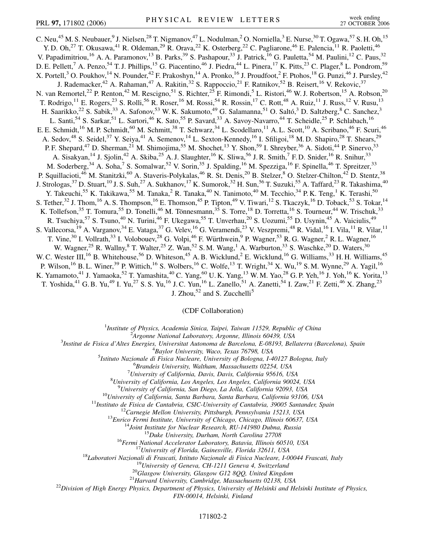C. Neu,<sup>45</sup> M. S. Neubauer,<sup>9</sup> J. Nielsen,<sup>28</sup> T. Nigmanov,<sup>47</sup> L. Nodulman,<sup>2</sup> O. Norniella,<sup>3</sup> E. Nurse,<sup>30</sup> T. Ogawa,<sup>57</sup> S. H. Oh,<sup>15</sup> Y. D. Oh,<sup>27</sup> T. Okusawa,<sup>41</sup> R. Oldeman,<sup>29</sup> R. Orava,<sup>22</sup> K. Osterberg,<sup>22</sup> C. Pagliarone,<sup>46</sup> E. Palencia,<sup>11</sup> R. Paoletti,<sup>46</sup> V. Papadimitriou,<sup>16</sup> A. A. Paramonov,<sup>13</sup> B. Parks,<sup>39</sup> S. Pashapour,<sup>33</sup> J. Patrick,<sup>16</sup> G. Pauletta,<sup>54</sup> M. Paulini,<sup>12</sup> C. Paus,<sup>32</sup> D. E. Pellett,<sup>7</sup> A. Penzo,<sup>54</sup> T. J. Phillips,<sup>15</sup> G. Piacentino,<sup>46</sup> J. Piedra,<sup>44</sup> L. Pinera,<sup>17</sup> K. Pitts,<sup>23</sup> C. Plager,<sup>8</sup> L. Pondrom,<sup>59</sup> X. Portell,<sup>3</sup> O. Poukhov,<sup>14</sup> N. Pounder,<sup>42</sup> F. Prakoshyn,<sup>14</sup> A. Pronko,<sup>16</sup> J. Proudfoot,<sup>2</sup> F. Ptohos,<sup>18</sup> G. Punzi,<sup>46</sup> J. Pursley,<sup>42</sup> J. Rademacker,<sup>42</sup> A. Rahaman,<sup>47</sup> A. Rakitin,<sup>32</sup> S. Rappoccio,<sup>21</sup> F. Ratnikov,<sup>52</sup> B. Reisert,<sup>16</sup> V. Rekovic,<sup>37</sup> N. van Remortel,<sup>22</sup> P. Renton,<sup>42</sup> M. Rescigno,<sup>51</sup> S. Richter,<sup>25</sup> F. Rimondi,<sup>5</sup> L. Ristori,<sup>46</sup> W. J. Robertson,<sup>15</sup> A. Robson,<sup>20</sup> T. Rodrigo,<sup>11</sup> E. Rogers,<sup>23</sup> S. Rolli,<sup>56</sup> R. Roser,<sup>16</sup> M. Rossi,<sup>54</sup> R. Rossin,<sup>17</sup> C. Rott,<sup>48</sup> A. Ruiz,<sup>11</sup> J. Russ,<sup>12</sup> V. Rusu,<sup>13</sup> H. Saarikko,<sup>22</sup> S. Sabik,<sup>33</sup> A. Safonov,<sup>53</sup> W.K. Sakumoto,<sup>49</sup> G. Salamanna,<sup>51</sup> O. Saltó,<sup>3</sup> D. Saltzberg,<sup>8</sup> C. Sanchez,<sup>3</sup> L. Santi,<sup>54</sup> S. Sarkar,<sup>51</sup> L. Sartori,<sup>46</sup> K. Sato,<sup>55</sup> P. Savard,<sup>33</sup> A. Savoy-Navarro,<sup>44</sup> T. Scheidle,<sup>25</sup> P. Schlabach,<sup>16</sup> E. E. Schmidt,<sup>16</sup> M. P. Schmidt,<sup>60</sup> M. Schmitt,<sup>38</sup> T. Schwarz,<sup>34</sup> L. Scodellaro,<sup>11</sup> A. L. Scott,<sup>10</sup> A. Scribano,<sup>46</sup> F. Scuri,<sup>46</sup> A. Sedov,<sup>48</sup> S. Seidel,<sup>37</sup> Y. Seiya,<sup>41</sup> A. Semenov,<sup>14</sup> L. Sexton-Kennedy,<sup>16</sup> I. Sfiligoi,<sup>18</sup> M. D. Shapiro,<sup>28</sup> T. Shears,<sup>29</sup> P. F. Shepard,<sup>47</sup> D. Sherman,<sup>21</sup> M. Shimojima,<sup>55</sup> M. Shochet,<sup>13</sup> Y. Shon,<sup>59</sup> I. Shreyber,<sup>36</sup> A. Sidoti,<sup>44</sup> P. Sinervo,<sup>33</sup> A. Sisakyan,<sup>14</sup> J. Sjolin,<sup>42</sup> A. Skiba,<sup>25</sup> A. J. Slaughter,<sup>16</sup> K. Sliwa,<sup>56</sup> J. R. Smith,<sup>7</sup> F. D. Snider,<sup>16</sup> R. Snihur,<sup>33</sup> M. Soderberg,<sup>34</sup> A. Soha,<sup>7</sup> S. Somalwar,<sup>52</sup> V. Sorin,<sup>35</sup> J. Spalding,<sup>16</sup> M. Spezziga,<sup>16</sup> F. Spinella,<sup>46</sup> T. Spreitzer,<sup>33</sup> P. Squillacioti,<sup>46</sup> M. Stanitzki,<sup>60</sup> A. Staveris-Polykalas,<sup>46</sup> R. St. Denis,<sup>20</sup> B. Stelzer,<sup>8</sup> O. Stelzer-Chilton,<sup>42</sup> D. Stentz,<sup>38</sup> J. Strologas,<sup>37</sup> D. Stuart,<sup>10</sup> J. S. Suh,<sup>27</sup> A. Sukhanov,<sup>17</sup> K. Sumorok,<sup>32</sup> H. Sun,<sup>56</sup> T. Suzuki,<sup>55</sup> A. Taffard,<sup>23</sup> R. Takashima,<sup>40</sup> Y. Takeuchi,<sup>55</sup> K. Takikawa,<sup>55</sup> M. Tanaka,<sup>2</sup> R. Tanaka,<sup>40</sup> N. Tanimoto,<sup>40</sup> M. Tecchio,<sup>34</sup> P. K. Teng,<sup>1</sup> K. Terashi,<sup>50</sup> S. Tether,<sup>32</sup> J. Thom,<sup>16</sup> A. S. Thompson,<sup>16</sup> E. Thomson,<sup>45</sup> P. Tipton,<sup>49</sup> V. Tiwari,<sup>12</sup> S. Tkaczyk,<sup>16</sup> D. Toback,<sup>53</sup> S. Tokar,<sup>14</sup> K. Tollefson,<sup>35</sup> T. Tomura,<sup>55</sup> D. Tonelli,<sup>46</sup> M. Tönnesmann,<sup>35</sup> S. Torre,<sup>18</sup> D. Torretta,<sup>16</sup> S. Tourneur,<sup>44</sup> W. Trischuk,<sup>33</sup> R. Tsuchiya,<sup>57</sup> S. Tsuno,<sup>40</sup> N. Turini,<sup>46</sup> F. Ukegawa,<sup>55</sup> T. Unverhau,<sup>20</sup> S. Uozumi,<sup>55</sup> D. Usynin,<sup>45</sup> A. Vaiciulis,<sup>49</sup> S. Vallecorsa, <sup>19</sup> A. Varganov, <sup>34</sup> E. Vataga, <sup>37</sup> G. Velev, <sup>16</sup> G. Veramendi, <sup>23</sup> V. Veszpremi, <sup>48</sup> R. Vidal, <sup>16</sup> I. Vila, <sup>11</sup> R. Vilar, <sup>11</sup> T. Vine,<sup>30</sup> I. Vollrath,<sup>33</sup> I. Volobouev,<sup>28</sup> G. Volpi,<sup>46</sup> F. Würthwein,<sup>9</sup> P. Wagner,<sup>53</sup> R. G. Wagner,<sup>2</sup> R. L. Wagner,<sup>16</sup> W. Wagner,<sup>25</sup> R. Wallny, <sup>8</sup> T. Walter,<sup>25</sup> Z. Wan,<sup>52</sup> S. M. Wang,<sup>1</sup> A. Warburton,<sup>33</sup> S. Waschke,<sup>20</sup> D. Waters,<sup>30</sup> W. C. Wester III,<sup>16</sup> B. Whitehouse,<sup>56</sup> D. Whiteson,<sup>45</sup> A. B. Wicklund,<sup>2</sup> E. Wicklund,<sup>16</sup> G. Williams,<sup>33</sup> H. H. Williams,<sup>45</sup> P. Wilson,<sup>16</sup> B. L. Winer,<sup>39</sup> P. Wittich,<sup>16</sup> S. Wolbers,<sup>16</sup> C. Wolfe,<sup>13</sup> T. Wright,<sup>34</sup> X. Wu,<sup>19</sup> S. M. Wynne,<sup>29</sup> A. Yagil,<sup>16</sup> K. Yamamoto,<sup>41</sup> J. Yamaoka,<sup>52</sup> T. Yamashita,<sup>40</sup> C. Yang,<sup>60</sup> U.K. Yang,<sup>13</sup> W.M. Yao,<sup>28</sup> G.P. Yeh,<sup>16</sup> J. Yoh,<sup>16</sup> K. Yorita,<sup>13</sup> T. Yoshida,<sup>41</sup> G. B. Yu,<sup>49</sup> I. Yu,<sup>27</sup> S. S. Yu,<sup>16</sup> J. C. Yun,<sup>16</sup> L. Zanello,<sup>51</sup> A. Zanetti,<sup>54</sup> I. Zaw,<sup>21</sup> F. Zetti,<sup>46</sup> X. Zhang,<sup>23</sup>

J. Zhou,<sup>52</sup> and S. Zucchelli<sup>5</sup>

(CDF Collaboration)

<sup>1</sup>*Institute of Physics, Academia Sinica, Taipei, Taiwan 11529, Republic of China*<br><sup>2</sup><sup>2</sup>Arganne National Laboratory, Arganne, Illinois 60430, USA

*Argonne National Laboratory, Argonne, Illinois 60439, USA*<br><sup>3</sup> Institut de Fisica d'Altes Energies, Universitat Autonoma de Barcelona, E 08103, Bell

*Institut de Fisica d'Altes Energies, Universitat Autonoma de Barcelona, E-08193, Bellaterra (Barcelona), Spain* <sup>4</sup> *Baylor University, Waco, Texas 76798, USA* <sup>5</sup>

*Istituto Nazionale di Fisica Nucleare, University of Bologna, I-40127 Bologna, Italy* <sup>6</sup>

*Brandeis University, Waltham, Massachusetts 02254, USA* <sup>7</sup>

*University of California, Davis, Davis, California 95616, USA* <sup>8</sup>

*University of California, Los Angeles, Los Angeles, California 90024, USA* <sup>9</sup>

 $^{9}$ University of California, San Diego, La Jolla, California 92093, USA<br>  $^{10}$ University of California, Santa Barbara, Santa Barbara, California 93106, USA<br>  $^{11}$ Instituto de Fisica de Cantabria, CSIC-University of Ca

*FIN-00014, Helsinki, Finland*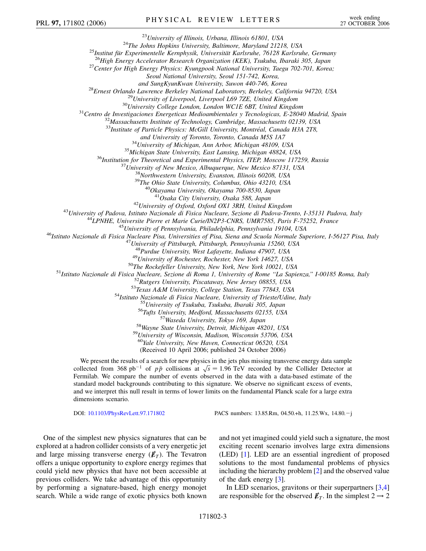<sup>23</sup>University of Illinois, Urbana, Illinois 61801, USA<br><sup>24</sup>The Johns Hopkins University, Baltimore, Maryland 21218, USA<br><sup>25</sup>Institut für Experimentelle Kernphysik, Universität Karlsruhe, 76128 Karlsruhe, Germany<br><sup>26</sup>High

*Seoul National University, Seoul 151-742, Korea,*

and SungKyunKwan University, Suwon 440-746, Korea<br><sup>28</sup>Ernest Orlando Lawrence Berkeley National Laboratory, Berkeley, California 94720, USA<br><sup>29</sup>University of Liverpool, Liverpool L69 7ZE, United Kingdom<br><sup>30</sup>University Col

<sup>33</sup>Institute of Particle Physics: McGill University, Montréal, Canada H3A 2T8,

and University of Toronto, Toronto, Canada M5S 1A7<br><sup>34</sup>University of Michigan, Ann Arbor, Michigan 48109, USA<br><sup>35</sup>Michigan State University, East Lansing, Michigan 48824, USA<br><sup>36</sup>Institution for Theoretical and Experimenta

<sup>42</sup>University of Oxford, Oxford OX1 3RH, United Kingdom<br><sup>43</sup>University of Padova, Istituto Nazionale di Fisica Nucleare, Sezione di Padova-Trento, I-35131 Padova, Italy<br><sup>44</sup>LPNHE, Universite Pierre et Marie Curie/IN2P3-C

<sup>48</sup>Purdue University, West Lafayette, Indiana 47907, USA<br><sup>49</sup>University of Rochester, Rochester, New York 14627, USA<br><sup>51</sup>Istituto Nazionale di Fisica Nucleare, Secione di Roma 1, University of Rochester, New York, New Yo

<sup>59</sup>University of Wisconsin, Madison, Wisconsin 53706, USA<br><sup>60</sup>Yale University, New Haven, Connecticut 06520, USA

(Received 10 April 2006; published 24 October 2006)

We present the results of a search for new physics in the jets plus missing transverse energy data sample we present the results or a search for hew physics in the jets plus missing transverse energy data sample collected from 368  $pb^{-1}$  of  $p\bar{p}$  collisions at  $\sqrt{s} = 1.96$  TeV recorded by the Collider Detector at Fermilab. We compare the number of events observed in the data with a data-based estimate of the standard model backgrounds contributing to this signature. We observe no significant excess of events, and we interpret this null result in terms of lower limits on the fundamental Planck scale for a large extra dimensions scenario.

DOI: [10.1103/PhysRevLett.97.171802](http://dx.doi.org/10.1103/PhysRevLett.97.171802) PACS numbers: 13.85.Rm, 04.50.+h, 11.25.Wx, 14.80.-j

One of the simplest new physics signatures that can be explored at a hadron collider consists of a very energetic jet and large missing transverse energy  $(\not\hspace{-.15cm}E_T)$ . The Tevatron offers a unique opportunity to explore energy regimes that could yield new physics that have not been accessible at previous colliders. We take advantage of this opportunity by performing a signature-based, high energy monojet search. While a wide range of exotic physics both known and not yet imagined could yield such a signature, the most exciting recent scenario involves large extra dimensions (LED) [\[1](#page-6-0)]. LED are an essential ingredient of proposed solutions to the most fundamental problems of physics including the hierarchy problem [\[2\]](#page-6-1) and the observed value of the dark energy [\[3](#page-6-2)].

In LED scenarios, gravitons or their superpartners [[3](#page-6-2)[,4\]](#page-6-3) are responsible for the observed  $\not\hspace{-.15cm}/_{T}$ . In the simplest 2  $\rightarrow$  2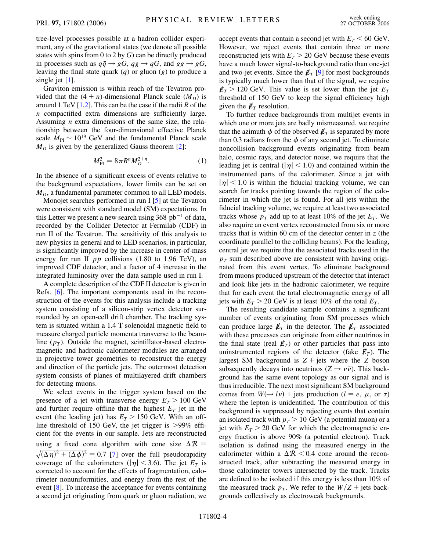tree-level processes possible at a hadron collider experiment, any of the gravitational states (we denote all possible states with spins from 0 to 2 by *G*) can be directly produced in processes such as  $q\bar{q} \rightarrow gG$ ,  $qg \rightarrow qG$ , and  $gg \rightarrow gG$ , leaving the final state quark (*q*) or gluon (*g*) to produce a single jet [\[1](#page-6-0)].

Graviton emission is within reach of the Tevatron provided that the  $(4 + n)$ -dimensional Planck scale  $(M_D)$  is around 1 TeV [[1](#page-6-0),[2\]](#page-6-1). This can be the case if the radii *R* of the *n* compactified extra dimensions are sufficiently large. Assuming *n* extra dimensions of the same size, the relationship between the four-dimensional effective Planck scale  $M_{\text{Pl}} \sim 10^{19}$  GeV and the fundamental Planck scale  $M_D$  is given by the generalized Gauss theorem [[2\]](#page-6-1):

$$
M_{\rm Pl}^2 = 8\pi R^n M_D^{2+n}.\tag{1}
$$

<span id="page-3-0"></span>In the absence of a significant excess of events relative to the background expectations, lower limits can be set on  $M_D$ , a fundamental parameter common to all LED models.

Monojet searches performed in run I [[5\]](#page-6-4) at the Tevatron were consistent with standard model (SM) expectations. In this Letter we present a new search using  $368$  pb<sup>-1</sup> of data, recorded by the Collider Detector at Fermilab (CDF) in run II of the Tevatron. The sensitivity of this analysis to new physics in general and to LED scenarios, in particular, is significantly improved by the increase in center-of-mass energy for run II  $p\bar{p}$  collisions (1.80 to 1.96 TeV), an improved CDF detector, and a factor of 4 increase in the integrated luminosity over the data sample used in run I.

A complete description of the CDF II detector is given in Refs. [\[6\]](#page-6-5). The important components used in the reconstruction of the events for this analysis include a tracking system consisting of a silicon-strip vertex detector surrounded by an open-cell drift chamber. The tracking system is situated within a 1.4 T solenoidal magnetic field to measure charged particle momenta transverse to the beamline  $(p_T)$ . Outside the magnet, scintillator-based electromagnetic and hadronic calorimeter modules are arranged in projective tower geometries to reconstruct the energy and direction of the particle jets. The outermost detection system consists of planes of multilayered drift chambers for detecting muons.

We select events in the trigger system based on the presence of a jet with transverse energy  $E_T > 100 \text{ GeV}$ and further require offline that the highest  $E_T$  jet in the event (the leading jet) has  $E_T > 150$  GeV. With an offline threshold of 150 GeV, the jet trigger is *>*99% efficient for the events in our sample. Jets are reconstructed using a fixed cone algorithm with cone size  $\Delta \mathcal{R} =$  $\sqrt{(\Delta \eta)^2 + (\Delta \phi)^2} = 0.7$  [\[7](#page-6-6)] over the full pseudorapidity coverage of the calorimeters ( $|\eta|$  < 3.6). The jet  $E_T$  is corrected to account for the effects of fragmentation, calorimeter nonuniformities, and energy from the rest of the event [\[8\]](#page-6-7). To increase the acceptance for events containing a second jet originating from quark or gluon radiation, we accept events that contain a second jet with  $E_T < 60$  GeV. However, we reject events that contain three or more reconstructed jets with  $E_T > 20$  GeV because these events have a much lower signal-to-background ratio than one-jet and two-jet events. Since the  $\not\hspace{-.15cm}/_{T}$  [\[9](#page-6-8)] for most backgrounds is typically much lower than that of the signal, we require  $E_T > 120$  GeV. This value is set lower than the jet  $E_T$ threshold of 150 GeV to keep the signal efficiency high given the  $\not{\!\mathit{E}}_T$  resolution.

To further reduce backgrounds from multijet events in which one or more jets are badly mismeasured, we require that the azimuth  $\phi$  of the observed  $\not\hspace{-1.2mm}E_T$  is separated by more than 0.3 radians from the  $\phi$  of any second jet. To eliminate noncollision background events originating from beam halo, cosmic rays, and detector noise, we require that the leading jet is central ( $|\eta|$  < 1.0) and contained within the instrumented parts of the calorimeter. Since a jet with  $|\eta|$  < 1.0 is within the fiducial tracking volume, we can search for tracks pointing towards the region of the calorimeter in which the jet is found. For all jets within the fiducial tracking volume, we require at least two associated tracks whose  $p<sub>T</sub>$  add up to at least 10% of the jet  $E<sub>T</sub>$ . We also require an event vertex reconstructed from six or more tracks that is within 60 cm of the detector center in *z* (the coordinate parallel to the colliding beams). For the leading, central jet we require that the associated tracks used in the  $p_T$  sum described above are consistent with having originated from this event vertex. To eliminate background from muons produced upstream of the detector that interact and look like jets in the hadronic calorimeter, we require that for each event the total electromagnetic energy of all jets with  $E_T > 20$  GeV is at least 10% of the total  $E_T$ .

The resulting candidate sample contains a significant number of events originating from SM processes which can produce large  $\not\hspace{-.15cm}/\,F_T$  in the detector. The  $\not\hspace{-.15cm}/\,F_T$  associated with these processes can originate from either neutrinos in the final state (real  $E_T$ ) or other particles that pass into uninstrumented regions of the detector (fake  $E_T$ ). The largest SM background is  $Z + \text{jets}$  where the *Z* boson subsequently decays into neutrinos  $(Z \rightarrow \nu \bar{\nu})$ . This background has the same event topology as our signal and is thus irreducible. The next most significant SM background comes from  $W(\rightarrow l\nu)$  + jets production ( $l = e, \mu, \text{ or } \tau$ ) where the lepton is unidentified. The contribution of this background is suppressed by rejecting events that contain an isolated track with  $p_T > 10$  GeV (a potential muon) or a jet with  $E_T > 20$  GeV for which the electromagnetic energy fraction is above 90% (a potential electron). Track isolation is defined using the measured energy in the calorimeter within a  $\Delta R < 0.4$  cone around the reconstructed track, after subtracting the measured energy in those calorimeter towers intersected by the track. Tracks are defined to be isolated if this energy is less than 10% of the measured track  $p_T$ . We refer to the  $W/Z$  + jets backgrounds collectively as electroweak backgrounds.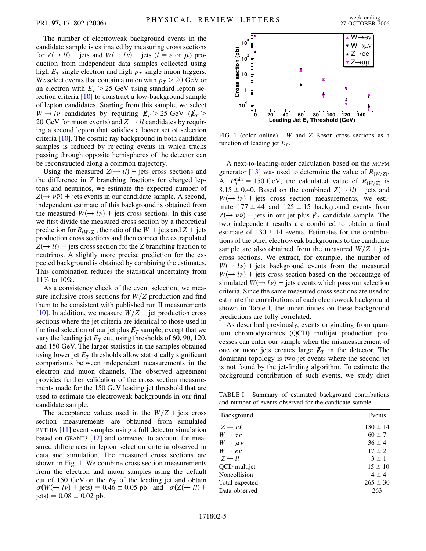The number of electroweak background events in the candidate sample is estimated by measuring cross sections for  $Z(\rightarrow ll)$  + jets and  $W(\rightarrow ll)$  + jets ( $l = e$  or  $\mu$ ) production from independent data samples collected using high  $E_T$  single electron and high  $p_T$  single muon triggers. We select events that contain a muon with  $p_T > 20 \text{ GeV}$  or an electron with  $E_T > 25$  GeV using standard lepton selection criteria [[10\]](#page-6-9) to construct a low-background sample of lepton candidates. Starting from this sample, we select  $W \rightarrow l\nu$  candidates by requiring  $E_T > 25$  GeV ( $E_T >$ 20 GeV for muon events) and  $Z \rightarrow ll$  candidates by requiring a second lepton that satisfies a looser set of selection criteria [[10](#page-6-9)]. The cosmic ray background in both candidate samples is reduced by rejecting events in which tracks passing through opposite hemispheres of the detector can be reconstructed along a common trajectory.

Using the measured  $Z(\rightarrow ll)$  + jets cross sections and the difference in *Z* branching fractions for charged leptons and neutrinos, we estimate the expected number of  $Z(\rightarrow \nu \bar{\nu})$  + jets events in our candidate sample. A second, independent estimate of this background is obtained from the measured  $W(\rightarrow l\nu)$  + jets cross sections. In this case we first divide the measured cross section by a theoretical prediction for  $R_{W/Z}$ , the ratio of the  $W +$  jets and  $Z +$  jets production cross sections and then correct the extrapolated  $Z(\rightarrow ll)$  + jets cross section for the *Z* branching fraction to neutrinos. A slightly more precise prediction for the expected background is obtained by combining the estimates. This combination reduces the statistical uncertainty from 11% to 10%.

As a consistency check of the event selection, we measure inclusive cross sections for  $W/Z$  production and find them to be consistent with published run II measurements [\[10\]](#page-6-9). In addition, we measure  $W/Z +$  jet production cross sections where the jet criteria are identical to those used in the final selection of our jet plus  $\not\!\!E_T$  sample, except that we vary the leading jet  $E_T$  cut, using thresholds of 60, 90, 120, and 150 GeV. The larger statistics in the samples obtained using lower jet  $E_T$  thresholds allow statistically significant comparisons between independent measurements in the electron and muon channels. The observed agreement provides further validation of the cross section measurements made for the 150 GeV leading jet threshold that are used to estimate the electroweak backgrounds in our final candidate sample.

The acceptance values used in the  $W/Z$  + jets cross section measurements are obtained from simulated PYTHIA [[11](#page-6-10)] event samples using a full detector simulation based on GEANT3 [\[12\]](#page-6-11) and corrected to account for measured differences in lepton selection criteria observed in data and simulation. The measured cross sections are shown in Fig. [1](#page-4-0). We combine cross section measurements from the electron and muon samples using the default cut of 150 GeV on the  $E_T$  of the leading jet and obtain  $\sigma(W(\rightarrow l\nu) + \text{jets}) = 0.46 \pm 0.05 \text{ pb} \text{ and } \sigma(Z(\rightarrow ll) +$  $jets) = 0.08 \pm 0.02$  pb.

<span id="page-4-0"></span>

FIG. 1 (color online). *W* and *Z* Boson cross sections as a function of leading jet  $E_T$ .

A next-to-leading-order calculation based on the MCFM generator [\[13\]](#page-6-12) was used to determine the value of  $R<sub>(W/Z)</sub>$ . At  $P_T^{\text{min}} = 150 \text{ GeV}$ , the calculated value of  $R_{(W/Z)}$  is 8.15  $\pm$  0.40. Based on the combined  $Z(\rightarrow ll)$  + jets and  $W(\rightarrow l\nu)$  + jets cross section measurements, we estimate  $177 \pm 44$  and  $125 \pm 15$  background events from  $Z(\rightarrow \nu \bar{\nu})$  + jets in our jet plus  $E_T$  candidate sample. The two independent results are combined to obtain a final estimate of  $130 \pm 14$  events. Estimates for the contributions of the other electroweak backgrounds to the candidate sample are also obtained from the measured  $W/Z$  + jets cross sections. We extract, for example, the number of  $W(\rightarrow l\nu)$  + jets background events from the measured  $W(\rightarrow l\nu)$  + jets cross section based on the percentage of simulated  $W(\rightarrow l\nu)$  + jets events which pass our selection criteria. Since the same measured cross sections are used to estimate the contributions of each electroweak background shown in Table [I](#page-4-1), the uncertainties on these background predictions are fully correlated.

As described previously, events originating from quantum chromodynamics (QCD) multijet production processes can enter our sample when the mismeasurement of one or more jets creates large  $\not\mathbb{E}_T$  in the detector. The dominant topology is two-jet events where the second jet is not found by the jet-finding algorithm. To estimate the background contribution of such events, we study dijet

<span id="page-4-1"></span>TABLE I. Summary of estimated background contributions and number of events observed for the candidate sample.

| Background                    | Events       |
|-------------------------------|--------------|
| $Z \rightarrow \nu \bar{\nu}$ | $130 \pm 14$ |
| $W \rightarrow \tau \nu$      | $60 \pm 7$   |
| $W \rightarrow \mu \nu$       | $36 \pm 4$   |
| $W \rightarrow e \nu$         | $17 \pm 2$   |
| $Z \rightarrow ll$            | $3 + 1$      |
| QCD multijet                  | $15 \pm 10$  |
| <b>Noncollision</b>           | $4 \pm 4$    |
| Total expected                | $265 \pm 30$ |
| Data observed                 | 263          |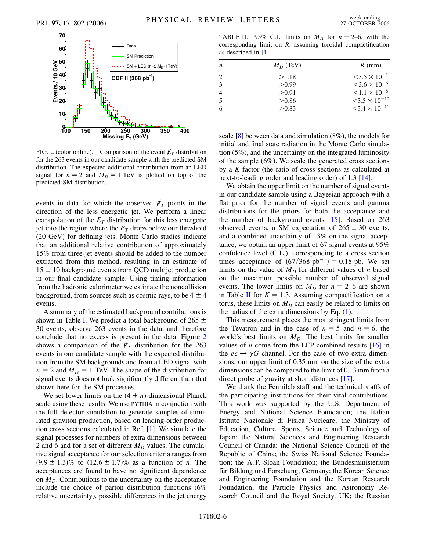<span id="page-5-0"></span>

FIG. 2 (color online). Comparison of the event  $\not\hspace{-.15cm}/\,^{\mathcal{F}}$  distribution for the 263 events in our candidate sample with the predicted SM distribution. The expected additional contribution from an LED signal for  $n = 2$  and  $M_D = 1$  TeV is plotted on top of the predicted SM distribution.

events in data for which the observed  $\not\hspace{-.15cm}/_{T}$  points in the direction of the less energetic jet. We perform a linear extrapolation of the  $E_T$  distribution for this less energetic jet into the region where the  $E_T$  drops below our threshold (20 GeV) for defining jets. Monte Carlo studies indicate that an additional relative contribution of approximately 15% from three-jet events should be added to the number extracted from this method, resulting in an estimate of  $15 \pm 10$  background events from OCD multijet production in our final candidate sample. Using timing information from the hadronic calorimeter we estimate the noncollision background, from sources such as cosmic rays, to be  $4 \pm 4$ events.

A summary of the estimated background contributions is shown in Table [I.](#page-4-1) We predict a total background of 265  $\pm$ 30 events, observe 263 events in the data, and therefore conclude that no excess is present in the data. Figure [2](#page-5-0) shows a comparison of the  $E_T$  distribution for the 263 events in our candidate sample with the expected distribution from the SM backgrounds and from a LED signal with  $n = 2$  and  $M_D = 1$  TeV. The shape of the distribution for signal events does not look significantly different than that shown here for the SM processes.

We set lower limits on the  $(4 + n)$ -dimensional Planck scale using these results. We use PYTHIA in conjuction with the full detector simulation to generate samples of simulated graviton production, based on leading-order production cross sections calculated in Ref. [\[1](#page-6-0)]. We simulate the signal processes for numbers of extra dimensions between 2 and 6 and for a set of different  $M_D$  values. The cumulative signal acceptance for our selection criteria ranges from  $(9.9 \pm 1.3)\%$  to  $(12.6 \pm 1.7)\%$  as a function of *n*. The acceptances are found to have no significant dependence on  $M<sub>D</sub>$ . Contributions to the uncertainty on the acceptance include the choice of parton distribution functions (6% relative uncertainty), possible differences in the jet energy

<span id="page-5-1"></span>TABLE II. 95% C.L. limits on  $M_D$  for  $n = 2-6$ , with the corresponding limit on *R*, assuming toroidal compactification as described in [[1\]](#page-6-0).

| n              | $M_D$ (TeV) | $R$ (mm)                           |
|----------------|-------------|------------------------------------|
| 2              | >1.18       | $<$ 3.5 $\times$ 10 <sup>-1</sup>  |
| 3              | > 0.99      | $<$ 3.6 $\times$ 10 <sup>-6</sup>  |
| $\overline{4}$ | > 0.91      | $< 1.1 \times 10^{-8}$             |
| .5             | > 0.86      | $\leq 3.5 \times 10^{-10}$         |
| 6              | > 0.83      | $<$ 3.4 $\times$ 10 <sup>-11</sup> |

scale [[8](#page-6-7)] between data and simulation (8%), the models for initial and final state radiation in the Monte Carlo simulation (5%), and the uncertainty on the integrated luminosity of the sample (6%). We scale the generated cross sections by a *K* factor (the ratio of cross sections as calculated at next-to-leading order and leading order) of 1.3 [\[14\]](#page-6-13).

We obtain the upper limit on the number of signal events in our candidate sample using a Bayesian approach with a flat prior for the number of signal events and gamma distributions for the priors for both the acceptance and the number of background events [\[15\]](#page-6-14). Based on 263 observed events, a SM expectation of  $265 \pm 30$  events, and a combined uncertainty of 13% on the signal acceptance, we obtain an upper limit of 67 signal events at 95% confidence level (C.L.), corresponding to a cross section times acceptance of  $(67/368 \text{ pb}^{-1}) = 0.18 \text{ pb}$ . We set limits on the value of  $M<sub>D</sub>$  for different values of *n* based on the maximum possible number of observed signal events. The lower limits on  $M_D$  for  $n = 2{\text -}6$  are shown in Table [II](#page-5-1) for  $K = 1.3$ . Assuming compactification on a torus, these limits on  $M<sub>D</sub>$  can easily be related to limits on the radius of the extra dimensions by Eq. [\(1](#page-3-0)).

This measurement places the most stringent limits from the Tevatron and in the case of  $n = 5$  and  $n = 6$ , the world's best limits on  $M<sub>D</sub>$ . The best limits for smaller values of *n* come from the LEP combined results  $[16]$  in the  $ee \rightarrow \gamma G$  channel. For the case of two extra dimensions, our upper limit of 0.35 mm on the size of the extra dimensions can be compared to the limit of 0.13 mm from a direct probe of gravity at short distances [[17](#page-6-16)].

We thank the Fermilab staff and the technical staffs of the participating institutions for their vital contributions. This work was supported by the U.S. Department of Energy and National Science Foundation; the Italian Istituto Nazionale di Fisica Nucleare; the Ministry of Education, Culture, Sports, Science and Technology of Japan; the Natural Sciences and Engineering Research Council of Canada; the National Science Council of the Republic of China; the Swiss National Science Foundation; the A. P. Sloan Foundation; the Bundesministerium für Bildung und Forschung, Germany; the Korean Science and Engineering Foundation and the Korean Research Foundation; the Particle Physics and Astronomy Research Council and the Royal Society, UK; the Russian